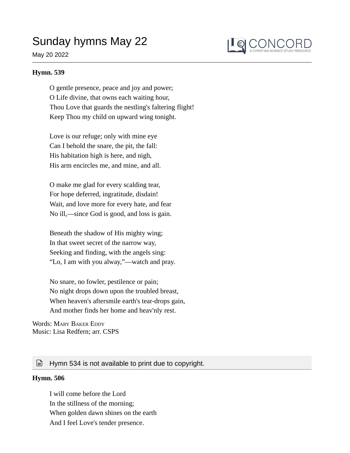# Sunday hymns May 22

## May 20 2022



### **Hymn. 539**

O gentle presence, peace and joy and power; O Life divine, that owns each waiting hour, Thou Love that guards the nestling's faltering flight! Keep Thou my child on upward wing tonight.

Love is our refuge; only with mine eye Can I behold the snare, the pit, the fall: His habitation high is here, and nigh, His arm encircles me, and mine, and all.

O make me glad for every scalding tear, For hope deferred, ingratitude, disdain! Wait, and love more for every hate, and fear No ill,—since God is good, and loss is gain.

Beneath the shadow of His mighty wing; In that sweet secret of the narrow way, Seeking and finding, with the angels sing: "Lo, I am with you alway,"—watch and pray.

No snare, no fowler, pestilence or pain; No night drops down upon the troubled breast, When heaven's aftersmile earth's tear-drops gain, And mother finds her home and heav'nly rest.

Words: MARY BAKER EDDY Music: Lisa Redfern; arr. CSPS

## $\equiv$  Hymn 534 is not available to print due to copyright.

#### **Hymn. 506**

I will come before the Lord In the stillness of the morning; When golden dawn shines on the earth And I feel Love's tender presence.